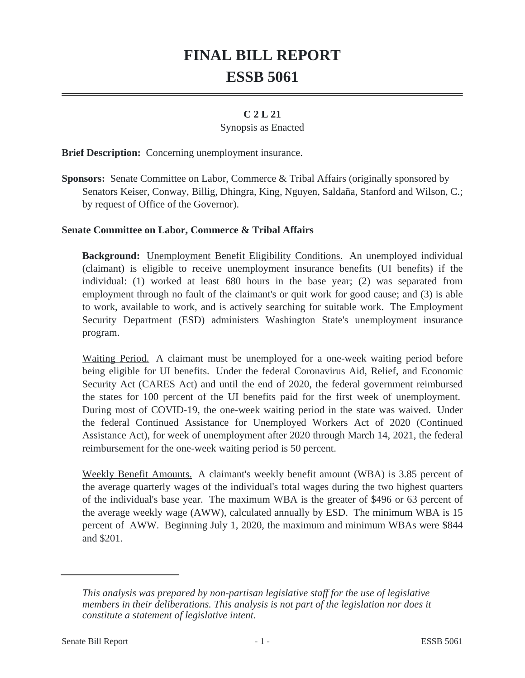# **FINAL BILL REPORT ESSB 5061**

## **C 2 L 21**

#### Synopsis as Enacted

**Brief Description:** Concerning unemployment insurance.

**Sponsors:** Senate Committee on Labor, Commerce & Tribal Affairs (originally sponsored by Senators Keiser, Conway, Billig, Dhingra, King, Nguyen, Saldaña, Stanford and Wilson, C.; by request of Office of the Governor).

### **Senate Committee on Labor, Commerce & Tribal Affairs**

**Background:** Unemployment Benefit Eligibility Conditions. An unemployed individual (claimant) is eligible to receive unemployment insurance benefits (UI benefits) if the individual: (1) worked at least 680 hours in the base year; (2) was separated from employment through no fault of the claimant's or quit work for good cause; and (3) is able to work, available to work, and is actively searching for suitable work. The Employment Security Department (ESD) administers Washington State's unemployment insurance program.

Waiting Period. A claimant must be unemployed for a one-week waiting period before being eligible for UI benefits. Under the federal Coronavirus Aid, Relief, and Economic Security Act (CARES Act) and until the end of 2020, the federal government reimbursed the states for 100 percent of the UI benefits paid for the first week of unemployment. During most of COVID-19, the one-week waiting period in the state was waived. Under the federal Continued Assistance for Unemployed Workers Act of 2020 (Continued Assistance Act), for week of unemployment after 2020 through March 14, 2021, the federal reimbursement for the one-week waiting period is 50 percent.

Weekly Benefit Amounts. A claimant's weekly benefit amount (WBA) is 3.85 percent of the average quarterly wages of the individual's total wages during the two highest quarters of the individual's base year. The maximum WBA is the greater of \$496 or 63 percent of the average weekly wage (AWW), calculated annually by ESD. The minimum WBA is 15 percent of AWW. Beginning July 1, 2020, the maximum and minimum WBAs were \$844 and \$201.

*This analysis was prepared by non-partisan legislative staff for the use of legislative members in their deliberations. This analysis is not part of the legislation nor does it constitute a statement of legislative intent.*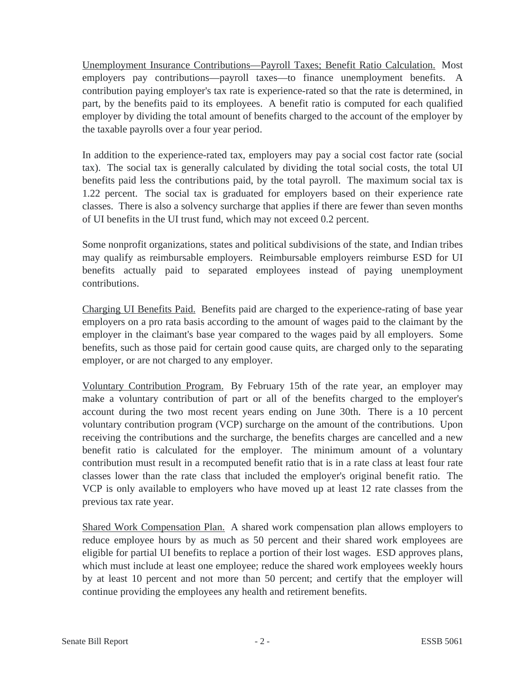Unemployment Insurance Contributions—Payroll Taxes; Benefit Ratio Calculation. Most employers pay contributions—payroll taxes—to finance unemployment benefits. A contribution paying employer's tax rate is experience-rated so that the rate is determined, in part, by the benefits paid to its employees. A benefit ratio is computed for each qualified employer by dividing the total amount of benefits charged to the account of the employer by the taxable payrolls over a four year period.

In addition to the experience-rated tax, employers may pay a social cost factor rate (social tax). The social tax is generally calculated by dividing the total social costs, the total UI benefits paid less the contributions paid, by the total payroll. The maximum social tax is 1.22 percent. The social tax is graduated for employers based on their experience rate classes. There is also a solvency surcharge that applies if there are fewer than seven months of UI benefits in the UI trust fund, which may not exceed 0.2 percent.

Some nonprofit organizations, states and political subdivisions of the state, and Indian tribes may qualify as reimbursable employers. Reimbursable employers reimburse ESD for UI benefits actually paid to separated employees instead of paying unemployment contributions.

Charging UI Benefits Paid. Benefits paid are charged to the experience-rating of base year employers on a pro rata basis according to the amount of wages paid to the claimant by the employer in the claimant's base year compared to the wages paid by all employers. Some benefits, such as those paid for certain good cause quits, are charged only to the separating employer, or are not charged to any employer.

Voluntary Contribution Program. By February 15th of the rate year, an employer may make a voluntary contribution of part or all of the benefits charged to the employer's account during the two most recent years ending on June 30th. There is a 10 percent voluntary contribution program (VCP) surcharge on the amount of the contributions. Upon receiving the contributions and the surcharge, the benefits charges are cancelled and a new benefit ratio is calculated for the employer. The minimum amount of a voluntary contribution must result in a recomputed benefit ratio that is in a rate class at least four rate classes lower than the rate class that included the employer's original benefit ratio. The VCP is only available to employers who have moved up at least 12 rate classes from the previous tax rate year.

Shared Work Compensation Plan. A shared work compensation plan allows employers to reduce employee hours by as much as 50 percent and their shared work employees are eligible for partial UI benefits to replace a portion of their lost wages. ESD approves plans, which must include at least one employee; reduce the shared work employees weekly hours by at least 10 percent and not more than 50 percent; and certify that the employer will continue providing the employees any health and retirement benefits.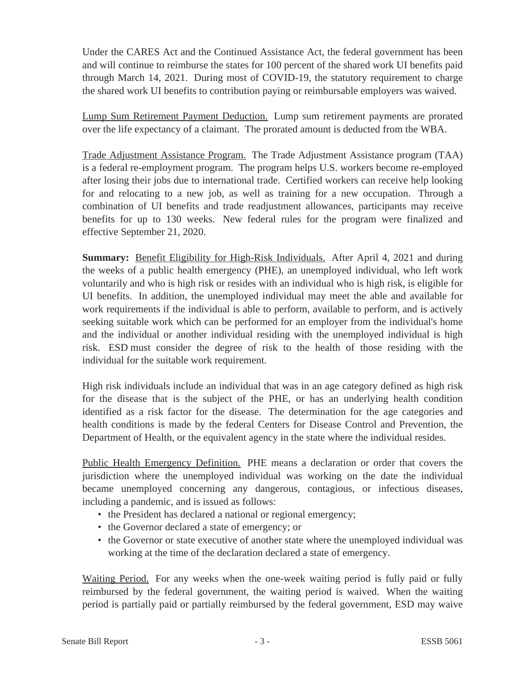Under the CARES Act and the Continued Assistance Act, the federal government has been and will continue to reimburse the states for 100 percent of the shared work UI benefits paid through March 14, 2021. During most of COVID-19, the statutory requirement to charge the shared work UI benefits to contribution paying or reimbursable employers was waived.

Lump Sum Retirement Payment Deduction. Lump sum retirement payments are prorated over the life expectancy of a claimant. The prorated amount is deducted from the WBA.

Trade Adjustment Assistance Program. The Trade Adjustment Assistance program (TAA) is a federal re-employment program. The program helps U.S. workers become re-employed after losing their jobs due to international trade. Certified workers can receive help looking for and relocating to a new job, as well as training for a new occupation. Through a combination of UI benefits and trade readjustment allowances, participants may receive benefits for up to 130 weeks. New federal rules for the program were finalized and effective September 21, 2020.

**Summary:** Benefit Eligibility for High-Risk Individuals. After April 4, 2021 and during the weeks of a public health emergency (PHE), an unemployed individual, who left work voluntarily and who is high risk or resides with an individual who is high risk, is eligible for UI benefits. In addition, the unemployed individual may meet the able and available for work requirements if the individual is able to perform, available to perform, and is actively seeking suitable work which can be performed for an employer from the individual's home and the individual or another individual residing with the unemployed individual is high risk. ESD must consider the degree of risk to the health of those residing with the individual for the suitable work requirement.

High risk individuals include an individual that was in an age category defined as high risk for the disease that is the subject of the PHE, or has an underlying health condition identified as a risk factor for the disease. The determination for the age categories and health conditions is made by the federal Centers for Disease Control and Prevention, the Department of Health, or the equivalent agency in the state where the individual resides.

Public Health Emergency Definition. PHE means a declaration or order that covers the jurisdiction where the unemployed individual was working on the date the individual became unemployed concerning any dangerous, contagious, or infectious diseases, including a pandemic, and is issued as follows:

- the President has declared a national or regional emergency;
- the Governor declared a state of emergency; or
- the Governor or state executive of another state where the unemployed individual was working at the time of the declaration declared a state of emergency.

Waiting Period. For any weeks when the one-week waiting period is fully paid or fully reimbursed by the federal government, the waiting period is waived. When the waiting period is partially paid or partially reimbursed by the federal government, ESD may waive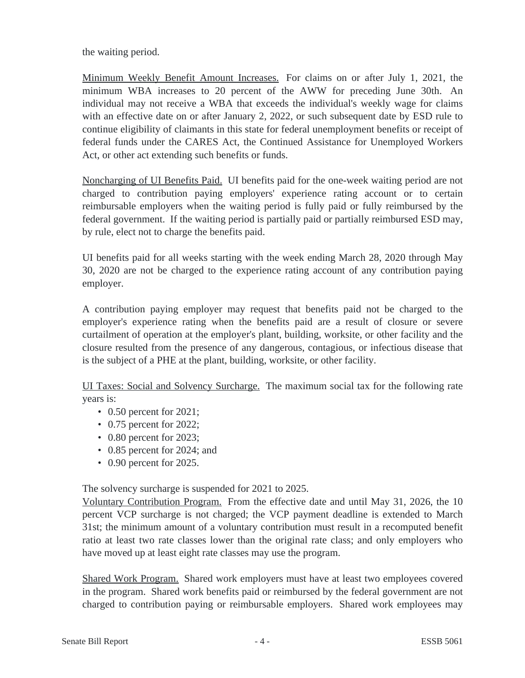the waiting period.

Minimum Weekly Benefit Amount Increases. For claims on or after July 1, 2021, the minimum WBA increases to 20 percent of the AWW for preceding June 30th. An individual may not receive a WBA that exceeds the individual's weekly wage for claims with an effective date on or after January 2, 2022, or such subsequent date by ESD rule to continue eligibility of claimants in this state for federal unemployment benefits or receipt of federal funds under the CARES Act, the Continued Assistance for Unemployed Workers Act, or other act extending such benefits or funds.

Noncharging of UI Benefits Paid. UI benefits paid for the one-week waiting period are not charged to contribution paying employers' experience rating account or to certain reimbursable employers when the waiting period is fully paid or fully reimbursed by the federal government. If the waiting period is partially paid or partially reimbursed ESD may, by rule, elect not to charge the benefits paid.

UI benefits paid for all weeks starting with the week ending March 28, 2020 through May 30, 2020 are not be charged to the experience rating account of any contribution paying employer.

A contribution paying employer may request that benefits paid not be charged to the employer's experience rating when the benefits paid are a result of closure or severe curtailment of operation at the employer's plant, building, worksite, or other facility and the closure resulted from the presence of any dangerous, contagious, or infectious disease that is the subject of a PHE at the plant, building, worksite, or other facility.

UI Taxes: Social and Solvency Surcharge. The maximum social tax for the following rate years is:

- 0.50 percent for 2021;
- 0.75 percent for 2022;
- 0.80 percent for 2023;
- 0.85 percent for 2024; and
- 0.90 percent for 2025.

The solvency surcharge is suspended for 2021 to 2025.

Voluntary Contribution Program. From the effective date and until May 31, 2026, the 10 percent VCP surcharge is not charged; the VCP payment deadline is extended to March 31st; the minimum amount of a voluntary contribution must result in a recomputed benefit ratio at least two rate classes lower than the original rate class; and only employers who have moved up at least eight rate classes may use the program.

Shared Work Program. Shared work employers must have at least two employees covered in the program. Shared work benefits paid or reimbursed by the federal government are not charged to contribution paying or reimbursable employers. Shared work employees may